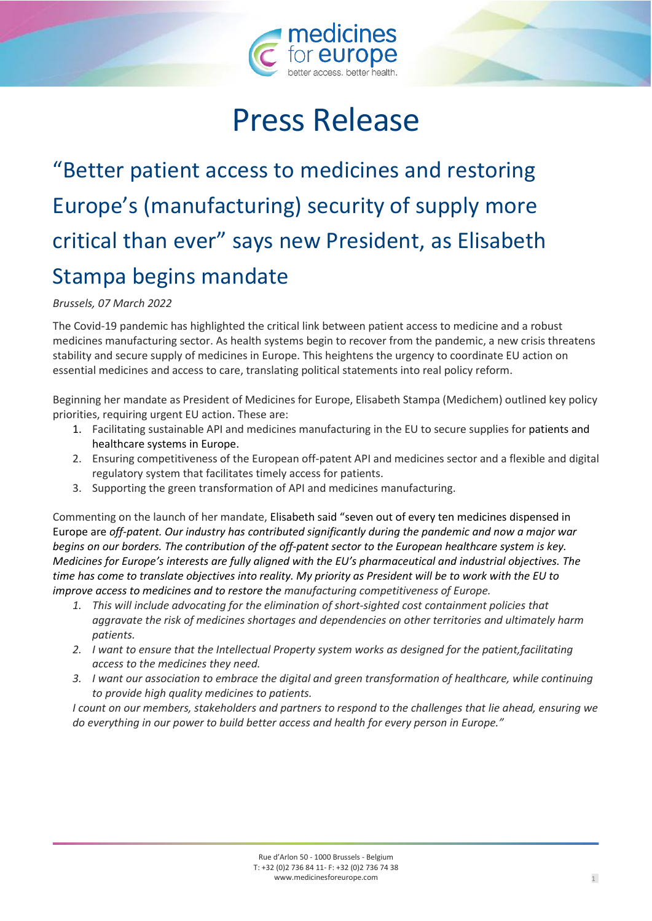

# Press Release

## "Better patient access to medicines and restoring Europe's (manufacturing) security of supply more critical than ever" says new President, as Elisabeth Stampa begins mandate

#### *Brussels, 07 March 2022*

The Covid-19 pandemic has highlighted the critical link between patient access to medicine and a robust medicines manufacturing sector. As health systems begin to recover from the pandemic, a new crisis threatens stability and secure supply of medicines in Europe. This heightens the urgency to coordinate EU action on essential medicines and access to care, translating political statements into real policy reform.

Beginning her mandate as President of Medicines for Europe, Elisabeth Stampa (Medichem) outlined key policy priorities, requiring urgent EU action. These are:

- 1. Facilitating sustainable API and medicines manufacturing in the EU to secure supplies for patients and healthcare systems in Europe.
- 2. Ensuring competitiveness of the European off-patent API and medicines sector and a flexible and digital regulatory system that facilitates timely access for patients.
- 3. Supporting the green transformation of API and medicines manufacturing.

Commenting on the launch of her mandate, Elisabeth said "seven out of every ten medicines dispensed in Europe are *off-patent. Our industry has contributed significantly during the pandemic and now a major war begins on our borders. The contribution of the off-patent sector to the European healthcare system is key. Medicines for Europe's interests are fully aligned with the EU's pharmaceutical and industrial objectives. The time has come to translate objectives into reality. My priority as President will be to work with the EU to improve access to medicines and to restore the manufacturing competitiveness of Europe.*

- *1. This will include advocating for the elimination of short-sighted cost containment policies that aggravate the risk of medicines shortages and dependencies on other territories and ultimately harm patients.*
- *2. I want to ensure that the Intellectual Property system works as designed for the patient,facilitating access to the medicines they need.*
- *3. I want our association to embrace the digital and green transformation of healthcare, while continuing to provide high quality medicines to patients.*

*I count on our members, stakeholders and partners to respond to the challenges that lie ahead, ensuring we do everything in our power to build better access and health for every person in Europe."*